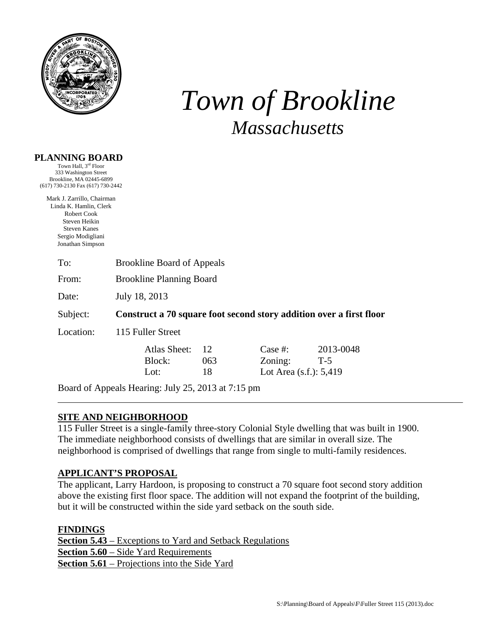

# *Town of Brookline Massachusetts*

#### **PLANNING BOARD**

Town Hall, 3rd Floor 333 Washington Street Brookline, MA 02445-6899 (617) 730-2130 Fax (617) 730-2442

Mark J. Zarrillo, Chairman Linda K. Hamlin, Clerk Robert Cook Steven Heikin Steven Kanes Sergio Modigliani Jonathan Simpson

| To: | <b>Brookline Board of Appeals</b> |  |
|-----|-----------------------------------|--|
|     |                                   |  |

From: Brookline Planning Board

Date: July 18, 2013

Subject: **Construct a 70 square foot second story addition over a first floor**

Location: 115 Fuller Street

| Atlas Sheet: | 12  |
|--------------|-----|
| Block:       | 063 |
| Lot:         | 18  |

Case #: 2013-0048  $Zoning:$   $T-5$ Lot Area  $(s.f.)$ : 5,419

Board of Appeals Hearing: July 25, 2013 at 7:15 pm

## **SITE AND NEIGHBORHOOD**

115 Fuller Street is a single-family three-story Colonial Style dwelling that was built in 1900. The immediate neighborhood consists of dwellings that are similar in overall size. The neighborhood is comprised of dwellings that range from single to multi-family residences.

## **APPLICANT'S PROPOSAL**

The applicant, Larry Hardoon, is proposing to construct a 70 square foot second story addition above the existing first floor space. The addition will not expand the footprint of the building, but it will be constructed within the side yard setback on the south side.

**FINDINGS Section 5.43** – Exceptions to Yard and Setback Regulations **Section 5.60** – Side Yard Requirements **Section 5.61** – Projections into the Side Yard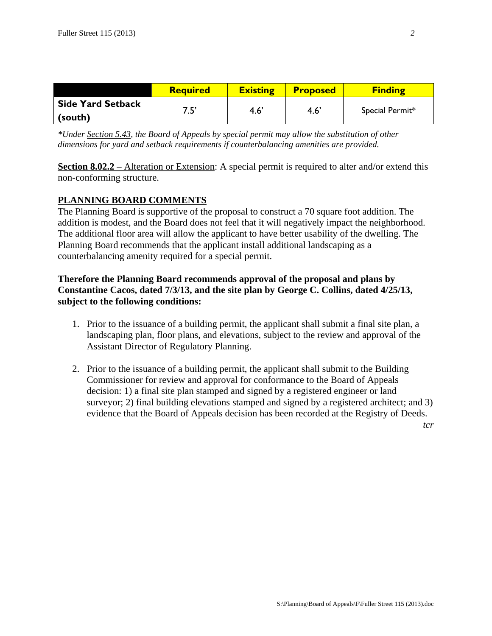|                          | <b>Required</b> | <b>Existing</b> | <b>Proposed</b> | <b>Finding</b>  |
|--------------------------|-----------------|-----------------|-----------------|-----------------|
| <b>Side Yard Setback</b> | 7 C'            | 4.6'            | 4.6             | Special Permit* |
| (south)                  |                 |                 |                 |                 |

*\*Under Section 5.43, the Board of Appeals by special permit may allow the substitution of other dimensions for yard and setback requirements if counterbalancing amenities are provided.* 

**Section 8.02.2** – Alteration or Extension: A special permit is required to alter and/or extend this non-conforming structure.

#### **PLANNING BOARD COMMENTS**

The Planning Board is supportive of the proposal to construct a 70 square foot addition. The addition is modest, and the Board does not feel that it will negatively impact the neighborhood. The additional floor area will allow the applicant to have better usability of the dwelling. The Planning Board recommends that the applicant install additional landscaping as a counterbalancing amenity required for a special permit.

## **Therefore the Planning Board recommends approval of the proposal and plans by Constantine Cacos, dated 7/3/13, and the site plan by George C. Collins, dated 4/25/13, subject to the following conditions:**

- 1. Prior to the issuance of a building permit, the applicant shall submit a final site plan, a landscaping plan, floor plans, and elevations, subject to the review and approval of the Assistant Director of Regulatory Planning.
- 2. Prior to the issuance of a building permit, the applicant shall submit to the Building Commissioner for review and approval for conformance to the Board of Appeals decision: 1) a final site plan stamped and signed by a registered engineer or land surveyor; 2) final building elevations stamped and signed by a registered architect; and 3) evidence that the Board of Appeals decision has been recorded at the Registry of Deeds.

*tcr*